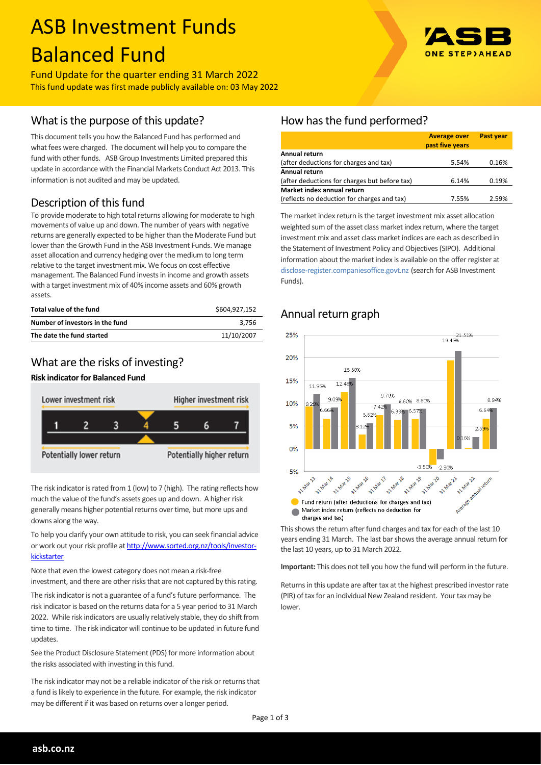# ASB Investment Funds Balanced Fund

Fund Update for the quarter ending 31 March 2022 This fund update was first made publicly available on: 03 May 2022

## What is the purpose of this update?

This document tells you how the Balanced Fund has performed and what fees were charged. The document will help you to compare the fund with other funds. ASB Group Investments Limited prepared this update in accordance with the Financial Markets Conduct Act 2013. This information is not audited and may be updated.

# Description of this fund

To provide moderate to high total returns allowing for moderate to high movements of value up and down. The number of years with negative returns are generally expected to be higher than the Moderate Fund but lower than the Growth Fund in the ASB Investment Funds. We manage asset allocation and currency hedging over the medium to long term relative to the target investment mix. We focus on cost effective management. The Balanced Fund invests in income and growth assets with a target investment mix of 40% income assets and 60% growth assets.

| Total value of the fund         | \$604.927.152 |
|---------------------------------|---------------|
| Number of investors in the fund | 3.756         |
| The date the fund started       | 11/10/2007    |

# What are the risks of investing?

### **Risk indicator for Balanced Fund**



The risk indicator is rated from 1 (low) to 7 (high). The rating reflects how much the value of the fund's assets goes up and down. A higher risk generally means higher potential returns over time, but more ups and downs along the way.

To help you clarify your own attitude to risk, you can seek financial advice or work out your risk profile at [http://www.sorted.org.nz/tools/investor](http://www.sorted.org.nz/tools/investor-kickstarter)[kickstarter](http://www.sorted.org.nz/tools/investor-kickstarter)

Note that even the lowest category does not mean a risk-free investment, and there are other risks that are not captured by this rating.

The risk indicator is not a guarantee of a fund's future performance. The risk indicator is based on the returns data for a 5 year period to 31 March 2022. While risk indicators are usually relatively stable, they do shift from time to time. The risk indicator will continue to be updated in future fund updates.

See the Product Disclosure Statement (PDS) for more information about the risks associated with investing in this fund.

The risk indicator may not be a reliable indicator of the risk or returns that a fund is likely to experience in the future. For example, the risk indicator may be different if it was based on returns over a longer period.

# How has the fund performed?

|                                               | <b>Average over</b><br>past five years | <b>Past year</b> |
|-----------------------------------------------|----------------------------------------|------------------|
| Annual return                                 |                                        |                  |
| (after deductions for charges and tax)        | 5.54%                                  | 0.16%            |
| <b>Annual return</b>                          |                                        |                  |
| (after deductions for charges but before tax) | 6.14%                                  | 0.19%            |
| Market index annual return                    |                                        |                  |
| (reflects no deduction for charges and tax)   | 7.55%                                  | 2.59%            |

The market index return is the target investment mix asset allocation weighted sum of the asset class market index return, where the target investment mix and asset class market indices are each as described in the Statement of Investment Policy and Objectives (SIPO). Additional information about the market index is available on the offer register at [disclose-register.companiesoffice.govt.nz](http://www.business.govt.nz/disclose/) (search for ASB Investment Funds).



# Annual return graph

This shows the return after fund charges and tax for each of the last 10 years ending 31 March. The last bar shows the average annual return for the last 10 years, up to 31 March 2022.

**Important:** This does not tell you how the fund will perform in the future.

Returns in this update are after tax at the highest prescribed investor rate (PIR) of tax for an individual New Zealand resident. Your tax may be lower.

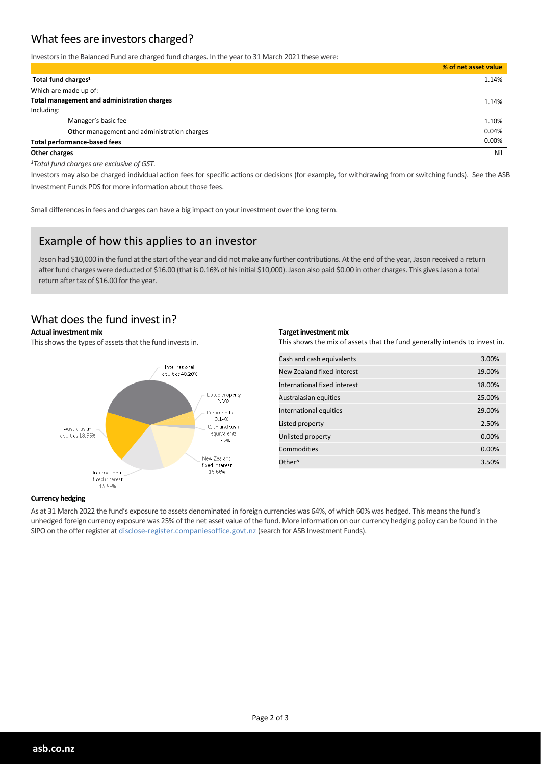# What fees are investors charged?

Investors in the Balanced Fund are charged fund charges. In the year to 31 March 2021 these were:

|                                             | % of net asset value |
|---------------------------------------------|----------------------|
| Total fund charges <sup>1</sup>             | 1.14%                |
| Which are made up of:                       |                      |
| Total management and administration charges | 1.14%                |
| Including:                                  |                      |
| Manager's basic fee                         | 1.10%                |
| Other management and administration charges | 0.04%                |
| <b>Total performance-based fees</b>         |                      |
| Other charges                               | Nil                  |

*<sup>1</sup>Total fund charges are exclusive of GST.*

Investors may also be charged individual action fees for specific actions or decisions (for example, for withdrawing from or switching funds). See the ASB Investment Funds PDS for more information about those fees.

Small differences in fees and charges can have a big impact on your investment over the long term.

## Example of how this applies to an investor

Jason had \$10,000 in the fund at the start of the year and did not make any further contributions. At the end of the year, Jason received a return after fund charges were deducted of \$16.00 (that is 0.16% of his initial \$10,000). Jason also paid \$0.00 in other charges. This gives Jason a total return after tax of \$16.00 for the year.

## What does the fund invest in?

#### **Actual investment mix**

This shows the types of assets that the fund invests in.



#### **Target investment mix**

This shows the mix of assets that the fund generally intends to invest in.

| Cash and cash equivalents    | 3.00%  |
|------------------------------|--------|
| New Zealand fixed interest   | 19.00% |
| International fixed interest | 18.00% |
| Australasian equities        | 25.00% |
| International equities       | 29.00% |
| Listed property              | 2.50%  |
| Unlisted property            | 0.00%  |
| Commodities                  | 0.00%  |
| Other <sup>^</sup>           | 3.50%  |
|                              |        |

#### **Currency hedging**

As at 31 March 2022 the fund's exposure to assets denominated in foreign currencies was 64%, of which 60% was hedged. This means the fund's unhedged foreign currency exposure was 25% of the net asset value of the fund. More information on our currency hedging policy can be found in the SIPO on the offer register at disclose-register.companiesoffice.govt.nz (search for ASB Investment Funds).